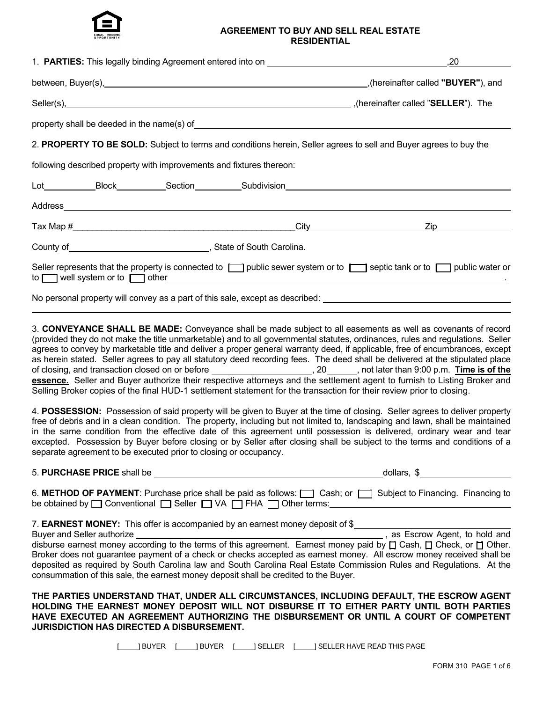

#### **AGREEMENT TO BUY AND SELL REAL ESTATE RESIDENTIAL**

|                                                                                                                                                                                                                                                                                                                                                                  |  |  | ,20 |  |  |  |  |
|------------------------------------------------------------------------------------------------------------------------------------------------------------------------------------------------------------------------------------------------------------------------------------------------------------------------------------------------------------------|--|--|-----|--|--|--|--|
|                                                                                                                                                                                                                                                                                                                                                                  |  |  |     |  |  |  |  |
|                                                                                                                                                                                                                                                                                                                                                                  |  |  |     |  |  |  |  |
|                                                                                                                                                                                                                                                                                                                                                                  |  |  |     |  |  |  |  |
| 2. PROPERTY TO BE SOLD: Subject to terms and conditions herein, Seller agrees to sell and Buyer agrees to buy the                                                                                                                                                                                                                                                |  |  |     |  |  |  |  |
| following described property with improvements and fixtures thereon:                                                                                                                                                                                                                                                                                             |  |  |     |  |  |  |  |
|                                                                                                                                                                                                                                                                                                                                                                  |  |  |     |  |  |  |  |
|                                                                                                                                                                                                                                                                                                                                                                  |  |  |     |  |  |  |  |
|                                                                                                                                                                                                                                                                                                                                                                  |  |  |     |  |  |  |  |
| County of County of County of County of County of County of County of County of County of County of County of County and County of County of County of County of County of County of County of County of County of County of C                                                                                                                                   |  |  |     |  |  |  |  |
| Seller represents that the property is connected to neg public sewer system or to net of septic tank or to neg public water or<br>to well system or to content of the other content of the system or to content of the other content of the system or to content of the system or to content of the system or to content of the system or to content of the syst |  |  |     |  |  |  |  |
| No personal property will convey as a part of this sale, except as described:                                                                                                                                                                                                                                                                                    |  |  |     |  |  |  |  |

3. **CONVEYANCE SHALL BE MADE:** Conveyance shall be made subject to all easements as well as covenants of record (provided they do not make the title unmarketable) and to all governmental statutes, ordinances, rules and regulations. Seller agrees to convey by marketable title and deliver a proper general warranty deed, if applicable, free of encumbrances, except as herein stated. Seller agrees to pay all statutory deed recording fees. The deed shall be delivered at the stipulated place of closing, and transaction closed on or before **contained a set of the set of the set of the**  $\frac{1}{2}$ , 20 and  $\frac{1}{2}$ , not later than 9:00 p.m. **Time is of the essence.** Seller and Buyer authorize their respective attorneys and the settlement agent to furnish to Listing Broker and Selling Broker copies of the final HUD-1 settlement statement for the transaction for their review prior to closing.

4. **POSSESSION:** Possession of said property will be given to Buyer at the time of closing. Seller agrees to deliver property free of debris and in a clean condition. The property, including but not limited to, landscaping and lawn, shall be maintained in the same condition from the effective date of this agreement until possession is delivered, ordinary wear and tear excepted. Possession by Buyer before closing or by Seller after closing shall be subject to the terms and conditions of a separate agreement to be executed prior to closing or occupancy.

5. **PURCHASE PRICE** shall be dollars, \$

| 6. METHOD OF PAYMENT: Purchase price shall be paid as follows: Cosh; or Coshigon Subject to Financing. Financing to |  |
|---------------------------------------------------------------------------------------------------------------------|--|
| be obtained by <b>O</b> Conventional <b>O</b> Seller <b>O</b> VA <b>O</b> FHA Other terms:                          |  |

7. **EARNEST MONEY:** This offer is accompanied by an earnest money deposit of \$

The EXIST STRING CONSTRUCT CONSUMING THE CONTROL OF STRING CONTROL CONSUMING THE CONSTRUCT CONSUMING THE CONSUMING CONSUMING THE BUYER SECTOR Agent, to hold and disburse earnest money according to the terms of this agreement. Earnest money paid by  $\Box$  Cash,  $\Box$  Check, or  $\Box$  Other. Broker does not guarantee payment of a check or checks accepted as earnest money. All escrow money received shall be deposited as required by South Carolina law and South Carolina Real Estate Commission Rules and Regulations. At the consummation of this sale, the earnest money deposit shall be credited to the Buyer.

**THE PARTIES UNDERSTAND THAT, UNDER ALL CIRCUMSTANCES, INCLUDING DEFAULT, THE ESCROW AGENT HOLDING THE EARNEST MONEY DEPOSIT WILL NOT DISBURSE IT TO EITHER PARTY UNTIL BOTH PARTIES HAVE EXECUTED AN AGREEMENT AUTHORIZING THE DISBURSEMENT OR UNTIL A COURT OF COMPETENT JURISDICTION HAS DIRECTED A DISBURSEMENT.**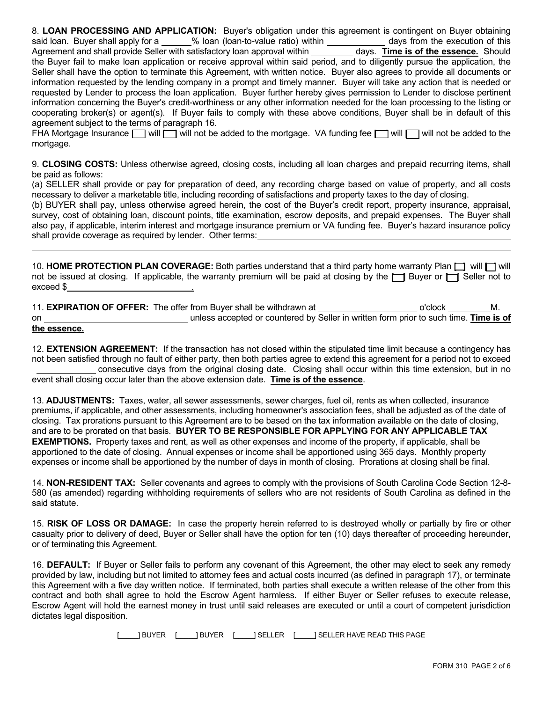8. **LOAN PROCESSING AND APPLICATION:** Buyer's obligation under this agreement is contingent on Buyer obtaining said loan. Buyer shall apply for a  $\%$  loan (loan-to-value ratio) within days from the execution of this Agreement and shall provide Seller with satisfactory loan approval within \_\_\_\_\_\_\_\_\_ days. Time is of the essence. Should the Buyer fail to make loan application or receive approval within said period, and to diligently pursue the application, the Seller shall have the option to terminate this Agreement, with written notice. Buyer also agrees to provide all documents or information requested by the lending company in a prompt and timely manner. Buyer will take any action that is needed or requested by Lender to process the loan application. Buyer further hereby gives permission to Lender to disclose pertinent information concerning the Buyer's credit-worthiness or any other information needed for the loan processing to the listing or cooperating broker(s) or agent(s). If Buyer fails to comply with these above conditions, Buyer shall be in default of this agreement subject to the terms of paragraph 16.

FHA Mortgage Insurance  $\Box$  will  $\Box$  will not be added to the mortgage. VA funding fee  $\Box$  will  $\Box$  will not be added to the mortgage.

9. **CLOSING COSTS:** Unless otherwise agreed, closing costs, including all loan charges and prepaid recurring items, shall be paid as follows:

(a) SELLER shall provide or pay for preparation of deed, any recording charge based on value of property, and all costs necessary to deliver a marketable title, including recording of satisfactions and property taxes to the day of closing.

(b) BUYER shall pay, unless otherwise agreed herein, the cost of the Buyer's credit report, property insurance, appraisal, survey, cost of obtaining loan, discount points, title examination, escrow deposits, and prepaid expenses. The Buyer shall also pay, if applicable, interim interest and mortgage insurance premium or VA funding fee. Buyer's hazard insurance policy shall provide coverage as required by lender. Other terms:

10. **HOME PROTECTION PLAN COVERAGE:** Both parties understand that a third party home warranty Plan  $\Box$  will  $\Box$  will not be issued at closing. If applicable, the warranty premium will be paid at closing by the  $\Box$  Buyer or  $\Box$  Seller not to exceed \$ .

11. **EXPIRATION OF OFFER:** The offer from Buyer shall be withdrawn at \_\_\_\_\_\_\_\_\_\_\_\_\_\_\_\_\_\_\_\_\_\_\_\_\_\_ o'clock M. on unless accepted or countered by Seller in written form prior to such time. **Time is of the essence.**

12. **EXTENSION AGREEMENT:** If the transaction has not closed within the stipulated time limit because a contingency has not been satisfied through no fault of either party, then both parties agree to extend this agreement for a period not to exceed consecutive days from the original closing date. Closing shall occur within this time extension, but in no event shall closing occur later than the above extension date. **Time is of the essence**.

13. **ADJUSTMENTS:** Taxes, water, all sewer assessments, sewer charges, fuel oil, rents as when collected, insurance premiums, if applicable, and other assessments, including homeowner's association fees, shall be adjusted as of the date of closing. Tax prorations pursuant to this Agreement are to be based on the tax information available on the date of closing, and are to be prorated on that basis. **BUYER TO BE RESPONSIBLE FOR APPLYING FOR ANY APPLICABLE TAX EXEMPTIONS.** Property taxes and rent, as well as other expenses and income of the property, if applicable, shall be apportioned to the date of closing. Annual expenses or income shall be apportioned using 365 days. Monthly property expenses or income shall be apportioned by the number of days in month of closing. Prorations at closing shall be final.

14. **NON-RESIDENT TAX:** Seller covenants and agrees to comply with the provisions of South Carolina Code Section 12-8- 580 (as amended) regarding withholding requirements of sellers who are not residents of South Carolina as defined in the said statute.

15. **RISK OF LOSS OR DAMAGE:** In case the property herein referred to is destroyed wholly or partially by fire or other casualty prior to delivery of deed, Buyer or Seller shall have the option for ten (10) days thereafter of proceeding hereunder, or of terminating this Agreement.

16. **DEFAULT:** If Buyer or Seller fails to perform any covenant of this Agreement, the other may elect to seek any remedy provided by law, including but not limited to attorney fees and actual costs incurred (as defined in paragraph 17), or terminate this Agreement with a five day written notice. If terminated, both parties shall execute a written release of the other from this contract and both shall agree to hold the Escrow Agent harmless. If either Buyer or Seller refuses to execute release, Escrow Agent will hold the earnest money in trust until said releases are executed or until a court of competent jurisdiction dictates legal disposition.

[ ] BUYER [ ] BUYER [ ] SELLER [ ] SELLER HAVE READ THIS PAGE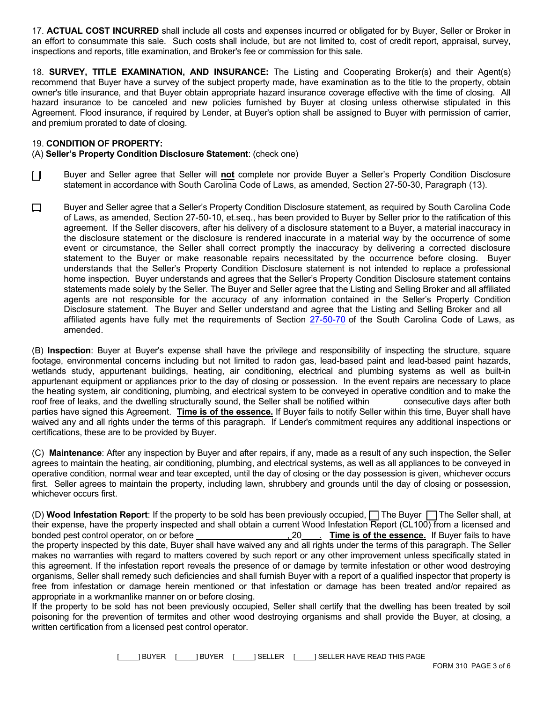17. **ACTUAL COST INCURRED** shall include all costs and expenses incurred or obligated for by Buyer, Seller or Broker in an effort to consummate this sale. Such costs shall include, but are not limited to, cost of credit report, appraisal, survey, inspections and reports, title examination, and Broker's fee or commission for this sale.

18. **SURVEY, TITLE EXAMINATION, AND INSURANCE:** The Listing and Cooperating Broker(s) and their Agent(s) recommend that Buyer have a survey of the subject property made, have examination as to the title to the property, obtain owner's title insurance, and that Buyer obtain appropriate hazard insurance coverage effective with the time of closing. All hazard insurance to be canceled and new policies furnished by Buyer at closing unless otherwise stipulated in this Agreement. Flood insurance, if required by Lender, at Buyer's option shall be assigned to Buyer with permission of carrier, and premium prorated to date of closing.

# 19. **CONDITION OF PROPERTY:**

### (A) **Seller's Property Condition Disclosure Statement**: (check one)

- **Full assume T and Seller agree that Seller will not complete nor provide Buyer a Seller's Property Condition Disclosure** statement in accordance with South Carolina Code of Laws, as amended, Section 27-50-30, Paragraph (13).
- [ ] Buyer and Seller agree that a Seller's Property Condition Disclosure statement, as required by South Carolina Code of Laws, as amended, Section 27-50-10, et.seq., has been provided to Buyer by Seller prior to the ratification of this agreement. If the Seller discovers, after his delivery of a disclosure statement to a Buyer, a material inaccuracy in the disclosure statement or the disclosure is rendered inaccurate in a material way by the occurrence of some event or circumstance, the Seller shall correct promptly the inaccuracy by delivering a corrected disclosure statement to the Buyer or make reasonable repairs necessitated by the occurrence before closing. Buyer understands that the Seller's Property Condition Disclosure statement is not intended to replace a professional home inspection. Buyer understands and agrees that the Seller's Property Condition Disclosure statement contains statements made solely by the Seller. The Buyer and Seller agree that the Listing and Selling Broker and all affiliated agents are not responsible for the accuracy of any information contained in the Seller's Property Condition Disclosure statement. The Buyer and Seller understand and agree that the Listing and Selling Broker and all affiliated agents have fully met the requirements of Sectio[n 27-50-7](http://www.lpitr.state.sc.us/code/t27c050.htm)0 of the South Carolina Code of Laws, as amended.

(B) **Inspection**: Buyer at Buyer's expense shall have the privilege and responsibility of inspecting the structure, square footage, environmental concerns including but not limited to radon gas, lead-based paint and lead-based paint hazards, wetlands study, appurtenant buildings, heating, air conditioning, electrical and plumbing systems as well as built-in appurtenant equipment or appliances prior to the day of closing or possession. In the event repairs are necessary to place the heating system, air conditioning, plumbing, and electrical system to be conveyed in operative condition and to make the roof free of leaks, and the dwelling structurally sound, the Seller shall be notified within consecutive days after both parties have signed this Agreement. **Time is of the essence.** If Buyer fails to notify Seller within this time, Buyer shall have waived any and all rights under the terms of this paragraph. If Lender's commitment requires any additional inspections or certifications, these are to be provided by Buyer.

(C) **Maintenance**: After any inspection by Buyer and after repairs, if any, made as a result of any such inspection, the Seller agrees to maintain the heating, air conditioning, plumbing, and electrical systems, as well as all appliances to be conveyed in operative condition, normal wear and tear excepted, until the day of closing or the day possession is given, whichever occurs first. Seller agrees to maintain the property, including lawn, shrubbery and grounds until the day of closing or possession, whichever occurs first.

(D) **Wood Infestation Report**: If the property to be sold has been previously occupied, [ ] The Buyer [ ] The Seller shall, at their expense, have the property inspected and shall obtain a current Wood Infestation Report (CL100) from a licensed and bonded pest control operator, on or before  $\qquad \qquad$ , 20 . **Time is of the essence.** If Buyer fails to have the property inspected by this date, Buyer shall have waived any and all rights under the terms of this paragraph. The Seller makes no warranties with regard to matters covered by such report or any other improvement unless specifically stated in this agreement. If the infestation report reveals the presence of or damage by termite infestation or other wood destroying organisms, Seller shall remedy such deficiencies and shall furnish Buyer with a report of a qualified inspector that property is free from infestation or damage herein mentioned or that infestation or damage has been treated and/or repaired as appropriate in a workmanlike manner on or before closing.

If the property to be sold has not been previously occupied, Seller shall certify that the dwelling has been treated by soil poisoning for the prevention of termites and other wood destroying organisms and shall provide the Buyer, at closing, a written certification from a licensed pest control operator.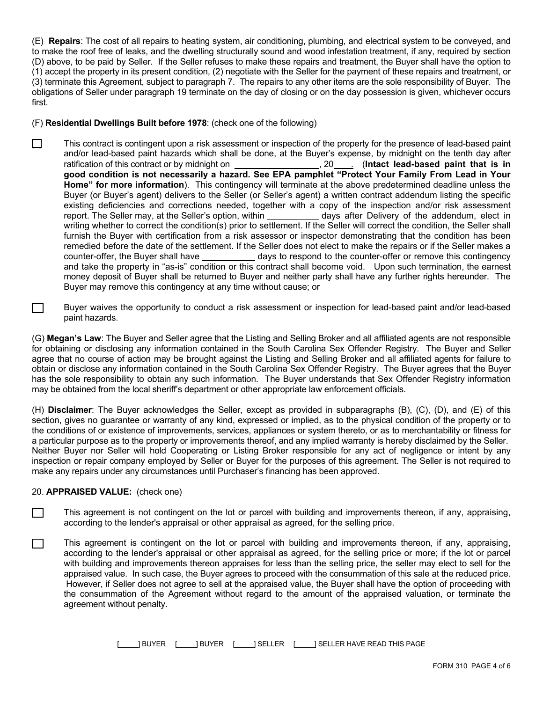(E) **Repairs**: The cost of all repairs to heating system, air conditioning, plumbing, and electrical system to be conveyed, and to make the roof free of leaks, and the dwelling structurally sound and wood infestation treatment, if any, required by section (D) above, to be paid by Seller. If the Seller refuses to make these repairs and treatment, the Buyer shall have the option to (1) accept the property in its present condition, (2) negotiate with the Seller for the payment of these repairs and treatment, or (3) terminate this Agreement, subject to paragraph 7. The repairs to any other items are the sole responsibility of Buyer. The obligations of Seller under paragraph 19 terminate on the day of closing or on the day possession is given, whichever occurs first.

## (F) **Residential Dwellings Built before 1978**: (check one of the following)

 $\Box$  This contract is contingent upon a risk assessment or inspection of the property for the presence of lead-based paint and/or lead-based paint hazards which shall be done, at the Buyer's expense, by midnight on the tenth day after ratification of this contract or by midnight on \_\_\_\_\_\_\_\_\_\_\_\_\_\_\_\_\_\_\_\_\_\_\_\_, 20\_\_\_\_\_\_ (Intact lead-based paint that is in **good condition is not necessarily a hazard. See EPA pamphlet "Protect Your Family From Lead in Your Home" for more information**). This contingency will terminate at the above predetermined deadline unless the Buyer (or Buyer's agent) delivers to the Seller (or Seller's agent) a written contract addendum listing the specific existing deficiencies and corrections needed, together with a copy of the inspection and/or risk assessment report. The Seller may, at the Seller's option, within days after Delivery of the addendum, elect in writing whether to correct the condition(s) prior to settlement. If the Seller will correct the condition, the Seller shall furnish the Buyer with certification from a risk assessor or inspector demonstrating that the condition has been remedied before the date of the settlement. If the Seller does not elect to make the repairs or if the Seller makes a counter-offer, the Buyer shall have days to respond to the counter-offer or remove this contingency and take the property in "as-is" condition or this contract shall become void. Upon such termination, the earnest money deposit of Buyer shall be returned to Buyer and neither party shall have any further rights hereunder. The Buyer may remove this contingency at any time without cause; or

**Example 3** Buyer waives the opportunity to conduct a risk assessment or inspection for lead-based paint and/or lead-based paint hazards.

(G) **Megan's Law**: The Buyer and Seller agree that the Listing and Selling Broker and all affiliated agents are not responsible for obtaining or disclosing any information contained in the South Carolina Sex Offender Registry. The Buyer and Seller agree that no course of action may be brought against the Listing and Selling Broker and all affiliated agents for failure to obtain or disclose any information contained in the South Carolina Sex Offender Registry. The Buyer agrees that the Buyer has the sole responsibility to obtain any such information. The Buyer understands that Sex Offender Registry information may be obtained from the local sheriff's department or other appropriate law enforcement officials.

(H) **Disclaimer**: The Buyer acknowledges the Seller, except as provided in subparagraphs (B), (C), (D), and (E) of this section, gives no guarantee or warranty of any kind, expressed or implied, as to the physical condition of the property or to the conditions of or existence of improvements, services, appliances or system thereto, or as to merchantability or fitness for a particular purpose as to the property or improvements thereof, and any implied warranty is hereby disclaimed by the Seller. Neither Buyer nor Seller will hold Cooperating or Listing Broker responsible for any act of negligence or intent by any inspection or repair company employed by Seller or Buyer for the purposes of this agreement. The Seller is not required to make any repairs under any circumstances until Purchaser's financing has been approved.

### 20. **APPRAISED VALUE:** (check one)

- $\Box$  This agreement is not contingent on the lot or parcel with building and improvements thereon, if any, appraising, according to the lender's appraisal or other appraisal as agreed, for the selling price.
- $\Box$  This agreement is contingent on the lot or parcel with building and improvements thereon, if any, appraising, according to the lender's appraisal or other appraisal as agreed, for the selling price or more; if the lot or parcel with building and improvements thereon appraises for less than the selling price, the seller may elect to sell for the appraised value. In such case, the Buyer agrees to proceed with the consummation of this sale at the reduced price. However, if Seller does not agree to sell at the appraised value, the Buyer shall have the option of proceeding with the consummation of the Agreement without regard to the amount of the appraised valuation, or terminate the agreement without penalty.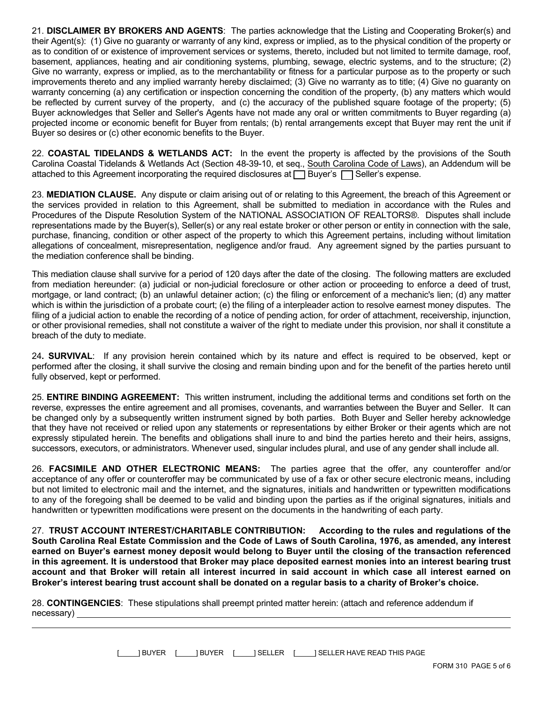21. **DISCLAIMER BY BROKERS AND AGENTS**: The parties acknowledge that the Listing and Cooperating Broker(s) and their Agent(s): (1) Give no guaranty or warranty of any kind, express or implied, as to the physical condition of the property or as to condition of or existence of improvement services or systems, thereto, included but not limited to termite damage, roof, basement, appliances, heating and air conditioning systems, plumbing, sewage, electric systems, and to the structure; (2) Give no warranty, express or implied, as to the merchantability or fitness for a particular purpose as to the property or such improvements thereto and any implied warranty hereby disclaimed; (3) Give no warranty as to title; (4) Give no guaranty on warranty concerning (a) any certification or inspection concerning the condition of the property, (b) any matters which would be reflected by current survey of the property, and (c) the accuracy of the published square footage of the property; (5) Buyer acknowledges that Seller and Seller's Agents have not made any oral or written commitments to Buyer regarding (a) projected income or economic benefit for Buyer from rentals; (b) rental arrangements except that Buyer may rent the unit if Buyer so desires or (c) other economic benefits to the Buyer.

22. **COASTAL TIDELANDS & WETLANDS ACT:** In the event the property is affected by the provisions of the South Carolina Coastal Tidelands & Wetlands Act (Section 48-39-10, et seq., South Carolina Code of Laws), an Addendum will be attached to this Agreement incorporating the required disclosures at  $\Box$  Buyer's  $\Box$  Seller's expense.

23. **MEDIATION CLAUSE.** Any dispute or claim arising out of or relating to this Agreement, the breach of this Agreement or the services provided in relation to this Agreement, shall be submitted to mediation in accordance with the Rules and Procedures of the Dispute Resolution System of the NATIONAL ASSOCIATION OF REALTORS®. Disputes shall include representations made by the Buyer(s), Seller(s) or any real estate broker or other person or entity in connection with the sale, purchase, financing, condition or other aspect of the property to which this Agreement pertains, including without limitation allegations of concealment, misrepresentation, negligence and/or fraud. Any agreement signed by the parties pursuant to the mediation conference shall be binding.

This mediation clause shall survive for a period of 120 days after the date of the closing. The following matters are excluded from mediation hereunder: (a) judicial or non-judicial foreclosure or other action or proceeding to enforce a deed of trust, mortgage, or land contract; (b) an unlawful detainer action; (c) the filing or enforcement of a mechanic's lien; (d) any matter which is within the jurisdiction of a probate court; (e) the filing of a interpleader action to resolve earnest money disputes. The filing of a judicial action to enable the recording of a notice of pending action, for order of attachment, receivership, injunction, or other provisional remedies, shall not constitute a waiver of the right to mediate under this provision, nor shall it constitute a breach of the duty to mediate.

24**. SURVIVAL**: If any provision herein contained which by its nature and effect is required to be observed, kept or performed after the closing, it shall survive the closing and remain binding upon and for the benefit of the parties hereto until fully observed, kept or performed.

25. **ENTIRE BINDING AGREEMENT:** This written instrument, including the additional terms and conditions set forth on the reverse, expresses the entire agreement and all promises, covenants, and warranties between the Buyer and Seller. It can be changed only by a subsequently written instrument signed by both parties. Both Buyer and Seller hereby acknowledge that they have not received or relied upon any statements or representations by either Broker or their agents which are not expressly stipulated herein. The benefits and obligations shall inure to and bind the parties hereto and their heirs, assigns, successors, executors, or administrators. Whenever used, singular includes plural, and use of any gender shall include all.

26. **FACSIMILE AND OTHER ELECTRONIC MEANS:** The parties agree that the offer, any counteroffer and/or acceptance of any offer or counteroffer may be communicated by use of a fax or other secure electronic means, including but not limited to electronic mail and the internet, and the signatures, initials and handwritten or typewritten modifications to any of the foregoing shall be deemed to be valid and binding upon the parties as if the original signatures, initials and handwritten or typewritten modifications were present on the documents in the handwriting of each party.

27. **TRUST ACCOUNT INTEREST/CHARITABLE CONTRIBUTION: According to the rules and regulations of the South Carolina Real Estate Commission and the Code of Laws of South Carolina, 1976, as amended, any interest earned on Buyer's earnest money deposit would belong to Buyer until the closing of the transaction referenced in this agreement. It is understood that Broker may place deposited earnest monies into an interest bearing trust account and that Broker will retain all interest incurred in said account in which case all interest earned on Broker's interest bearing trust account shall be donated on a regular basis to a charity of Broker's choice.**

28. **CONTINGENCIES**: These stipulations shall preempt printed matter herein: (attach and reference addendum if necessary)